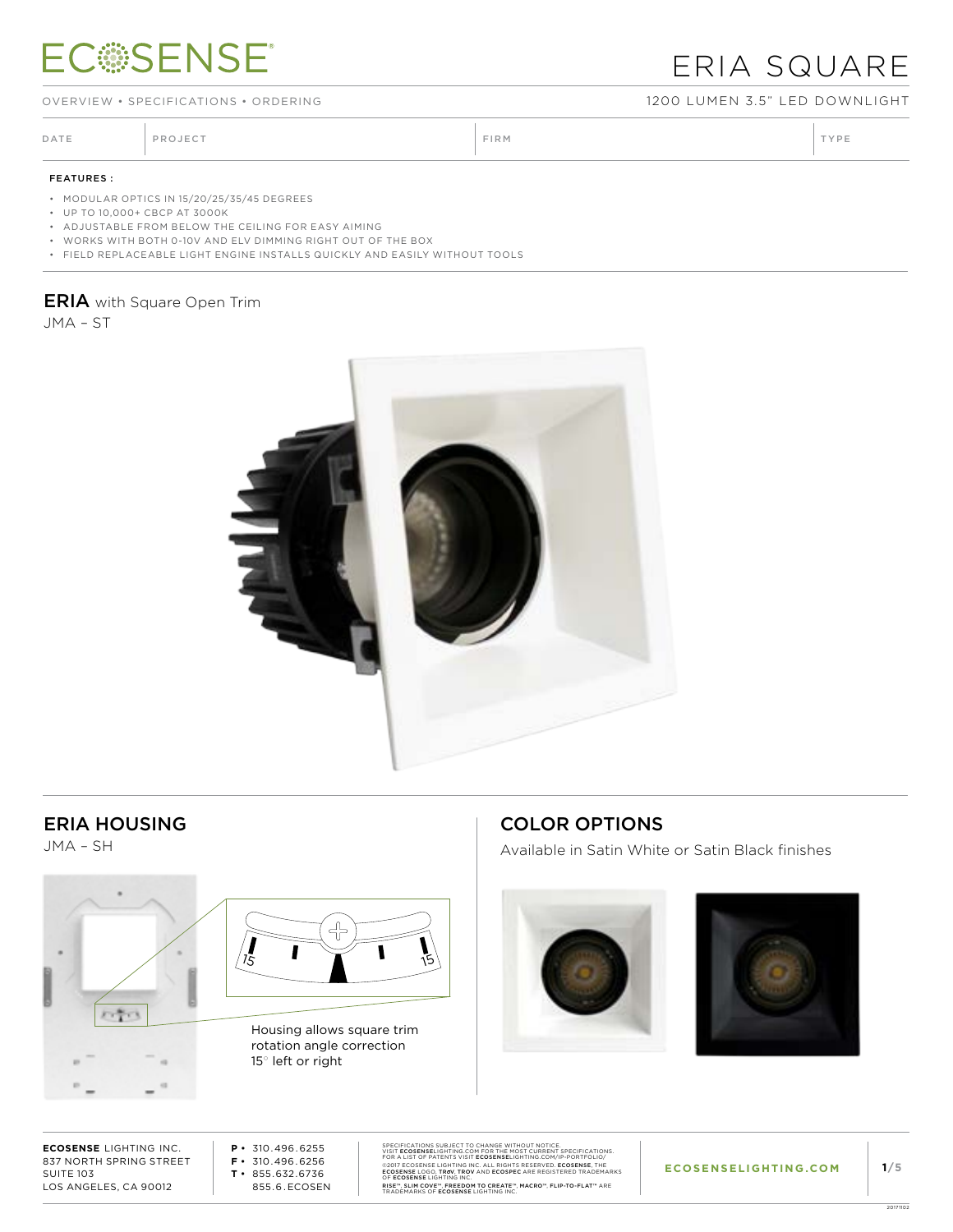# **ECSSENSE®**

## ERIA SQUARE

OVERVIEW • SPECIFICATIONS • ORDERING 1200 LUMEN 3.5" LED DOWNLIGHT

DATE PROJECT PROJECT PRODUCT PROJECT PRODUCT PRODUCT PRODUCT PRODUCT PRODUCT PRODUCT PRODUCT PRODUCT PRODUCT PRODUCT PRODUCT PRODUCT PRODUCT PRODUCT PRODUCT PRODUCT PRODUCT PRODUCT PRODUCT PRODUCT PRODUCT PRODUCT PRODUCT P

#### FEATURES :

• MODULAR OPTICS IN 15/20/25/35/45 DEGREES

• UP TO 10,000+ CBCP AT 3000K

• ADJUSTABLE FROM BELOW THE CEILING FOR EASY AIMING

• WORKS WITH BOTH 0-10V AND ELV DIMMING RIGHT OUT OF THE BOX

• FIELD REPLACEABLE LIGHT ENGINE INSTALLS QUICKLY AND EASILY WITHOUT TOOLS

#### **ERIA** with Square Open Trim

JMA – ST



#### ERIA HOUSING

JMA – SH





Housing allows square trim rotation angle correction 15° left or right

### COLOR OPTIONS

Available in Satin White or Satin Black finishes





**ECOSENSE** LIGHTING INC. 837 NORTH SPRING STREET SUITE 103 LOS ANGELES, CA 90012

**P •** 310.496.6255 **F •** 310.496.6256 **T •** 855.632.6736 855.6.ECOSEN SPECIFICATIONS SUBJECT TO CHANGE WITHOUT NOTICE.<br>VISIT ECOSENSELIGHTING.COM FOR THE MOST CURRENT SPECIFICATIONS.<br>FOR A LIST OF PATENTS VISIT ECOSENSELIGHTING.COM/P-PORTFOLIO/<br>@2017 ECOSENSE LIGHTING INC. ALL RIGHTS RESERVE RISE™, SLIM COVE™, FREEDOM TO CREATE™, MACRO™, FLIP-TO-FLAT™ ARE<br>TRADEMARKS OF **ECOSENSE** LIGHTING INC.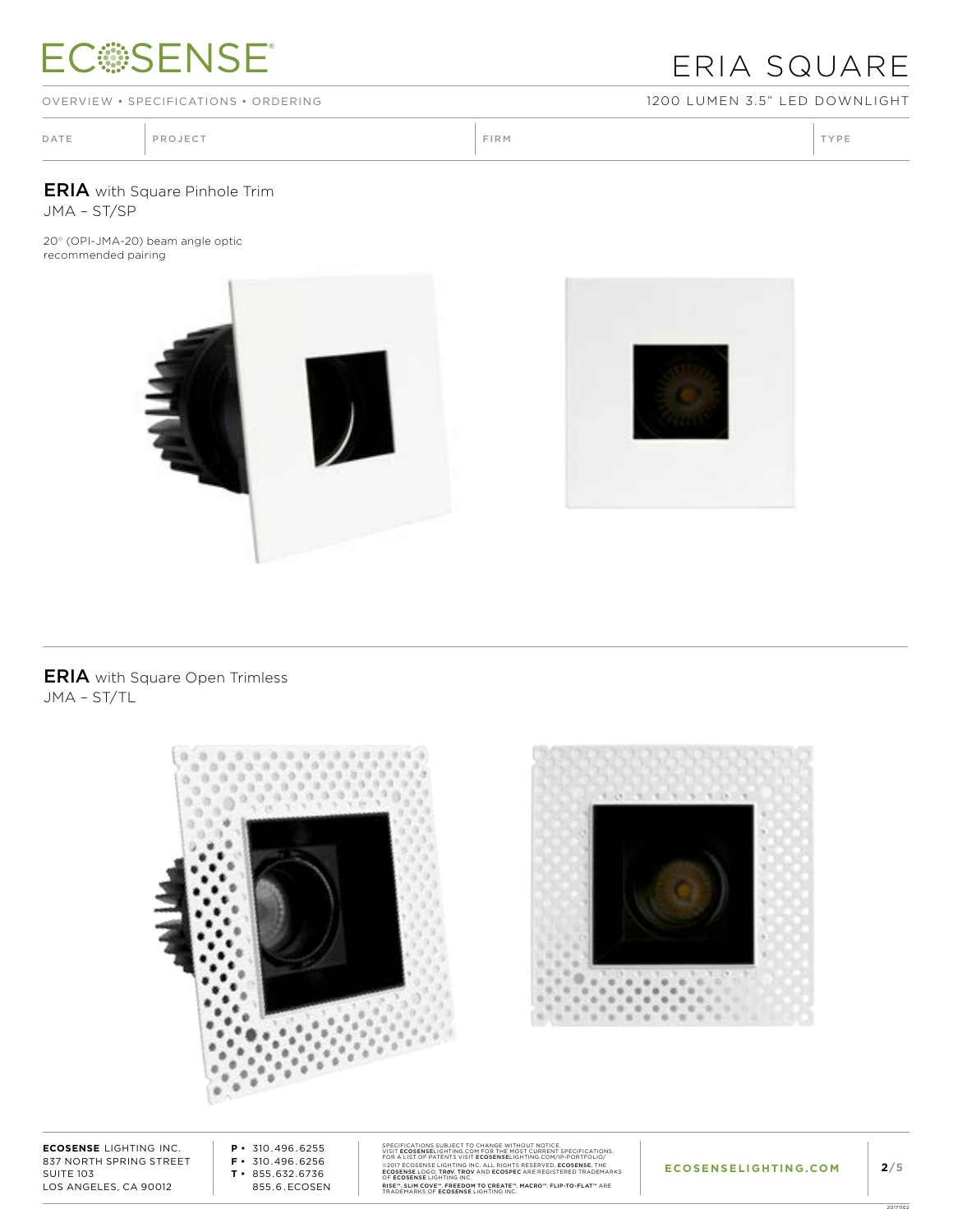# **ECSSENSE®**

## ERIA SQUARE

OVERVIEW • SPECIFICATIONS • ORDERING 1200 LUMEN 3.5" LED DOWNLIGHT

| PROJECT<br>TYPE<br>FIRM<br>DATE |  |  |  |  |
|---------------------------------|--|--|--|--|
|---------------------------------|--|--|--|--|

ERIA with Square Pinhole Trim JMA – ST/SP

20° (OPI-JMA-20) beam angle optic recommended pairing





**ERIA** with Square Open Trimless JMA – ST/TL



**ECOSENSE** LIGHTING INC. 837 NORTH SPRING STREET SUITE 103 LOS ANGELES, CA 90012

**P •** 310.496.6255 **F •** 310.496.6256 **T •** 855.632.6736 855.6.ECOSEN SPECIFICATIONS SUBJECT TO CHANGE WITHOUT NOTICE.<br>VISIT ECOSENSELIGHTING.COM FOR THE MOST CURRENT SPECIFICATIONS.<br>FOR A LIST OF PATENTS VISIT ECOSENSELIGHTING.COM/P-PORTFOLIO/<br>@2017 ECOSENSE LIGHTING INC. ALL RIGHTS RESERVE RISE™, SLIM COVE™, FREEDOM TO CREATE™, MACRO™, FLIP-TO-FLAT™ ARE<br>TRADEMARKS OF **ECOSENSE** LIGHTING INC.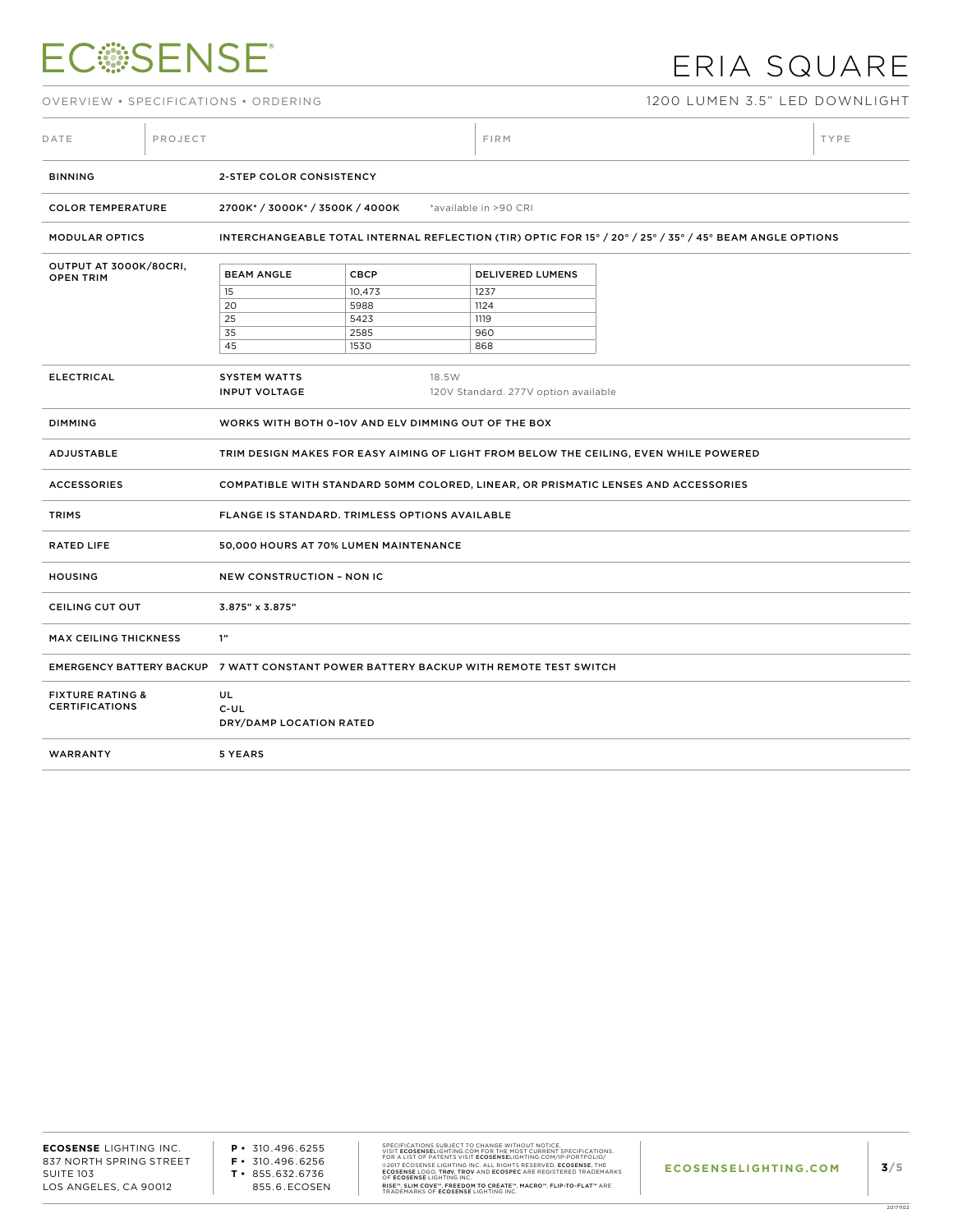# **ECSSENSE®**

## ERIA SQUARE

OVERVIEW • SPECIFICATIONS • ORDERING 1200 LUMEN 3.5" LED DOWNLIGHT

| DATE                                                                                                              | PROJECT                                              |                                                                                                          |             | FIRM |                         | TYPE                                                                                  |  |  |  |
|-------------------------------------------------------------------------------------------------------------------|------------------------------------------------------|----------------------------------------------------------------------------------------------------------|-------------|------|-------------------------|---------------------------------------------------------------------------------------|--|--|--|
| <b>BINNING</b>                                                                                                    |                                                      | 2-STEP COLOR CONSISTENCY                                                                                 |             |      |                         |                                                                                       |  |  |  |
| <b>COLOR TEMPERATURE</b>                                                                                          |                                                      | 2700K*/3000K*/3500K/4000K<br>*available in >90 CRI                                                       |             |      |                         |                                                                                       |  |  |  |
| <b>MODULAR OPTICS</b>                                                                                             |                                                      | INTERCHANGEABLE TOTAL INTERNAL REFLECTION (TIR) OPTIC FOR 15° / 20° / 25° / 35° / 45° BEAM ANGLE OPTIONS |             |      |                         |                                                                                       |  |  |  |
| OUTPUT AT 3000K/80CRI,<br><b>OPEN TRIM</b>                                                                        |                                                      | <b>BEAM ANGLE</b>                                                                                        | <b>CBCP</b> |      | <b>DELIVERED LUMENS</b> |                                                                                       |  |  |  |
|                                                                                                                   |                                                      | 15                                                                                                       | 10,473      | 1237 |                         |                                                                                       |  |  |  |
|                                                                                                                   |                                                      | 20                                                                                                       | 5988        | 1124 |                         |                                                                                       |  |  |  |
|                                                                                                                   |                                                      | 25                                                                                                       | 5423        | 1119 |                         |                                                                                       |  |  |  |
|                                                                                                                   |                                                      | 35                                                                                                       | 2585        | 960  |                         |                                                                                       |  |  |  |
|                                                                                                                   |                                                      | 45                                                                                                       | 1530        | 868  |                         |                                                                                       |  |  |  |
|                                                                                                                   |                                                      |                                                                                                          |             |      |                         |                                                                                       |  |  |  |
| <b>ELECTRICAL</b><br><b>SYSTEM WATTS</b><br>18.5W<br><b>INPUT VOLTAGE</b><br>120V Standard. 277V option available |                                                      |                                                                                                          |             |      |                         |                                                                                       |  |  |  |
| <b>DIMMING</b>                                                                                                    | WORKS WITH BOTH 0-10V AND ELV DIMMING OUT OF THE BOX |                                                                                                          |             |      |                         |                                                                                       |  |  |  |
| ADJUSTABLE                                                                                                        |                                                      |                                                                                                          |             |      |                         | TRIM DESIGN MAKES FOR EASY AIMING OF LIGHT FROM BELOW THE CEILING, EVEN WHILE POWERED |  |  |  |
| <b>ACCESSORIES</b>                                                                                                |                                                      | COMPATIBLE WITH STANDARD 50MM COLORED, LINEAR, OR PRISMATIC LENSES AND ACCESSORIES                       |             |      |                         |                                                                                       |  |  |  |
| <b>TRIMS</b>                                                                                                      |                                                      | <b>FLANGE IS STANDARD. TRIMLESS OPTIONS AVAILABLE</b>                                                    |             |      |                         |                                                                                       |  |  |  |
| <b>RATED LIFE</b>                                                                                                 |                                                      | 50,000 HOURS AT 70% LUMEN MAINTENANCE                                                                    |             |      |                         |                                                                                       |  |  |  |
| <b>HOUSING</b>                                                                                                    | <b>NEW CONSTRUCTION - NON IC</b>                     |                                                                                                          |             |      |                         |                                                                                       |  |  |  |
| CEILING CUT OUT<br>3.875" x 3.875"                                                                                |                                                      |                                                                                                          |             |      |                         |                                                                                       |  |  |  |
| <b>MAX CEILING THICKNESS</b>                                                                                      |                                                      | 1"                                                                                                       |             |      |                         |                                                                                       |  |  |  |
|                                                                                                                   |                                                      | EMERGENCY BATTERY BACKUP 7 WATT CONSTANT POWER BATTERY BACKUP WITH REMOTE TEST SWITCH                    |             |      |                         |                                                                                       |  |  |  |
| <b>FIXTURE RATING &amp;</b><br><b>CERTIFICATIONS</b>                                                              |                                                      | UL<br>$C$ -UL<br>DRY/DAMP LOCATION RATED                                                                 |             |      |                         |                                                                                       |  |  |  |
| WARRANTY                                                                                                          |                                                      | 5 YEARS                                                                                                  |             |      |                         |                                                                                       |  |  |  |
|                                                                                                                   |                                                      |                                                                                                          |             |      |                         |                                                                                       |  |  |  |

**P •** 310.496.6255 **F •** 310.496.6256 **T •** 855.632.6736 855.6.ECOSEN SPECIFICATIONS SUBJECT TO CHANGE WITHOUT NOTICE.<br>VISIT ECOSENSELIGHTING.COM FOR THE MOST CURRENT SPECIFICATIONS.<br>FOR A LIST OF PATENTS VISIT ECOSENSELIGHTING.COM/P-PORTFOLIO/<br>@2017 ECOSENSE LIGHTING INC. ALL RIGHTS RESERVE RISE™, SLIM COVE™, FREEDOM TO CREATE™, MACRO™, FLIP-TO-FLAT™ ARE<br>TRADEMARKS OF **ECOSENSE** LIGHTING INC.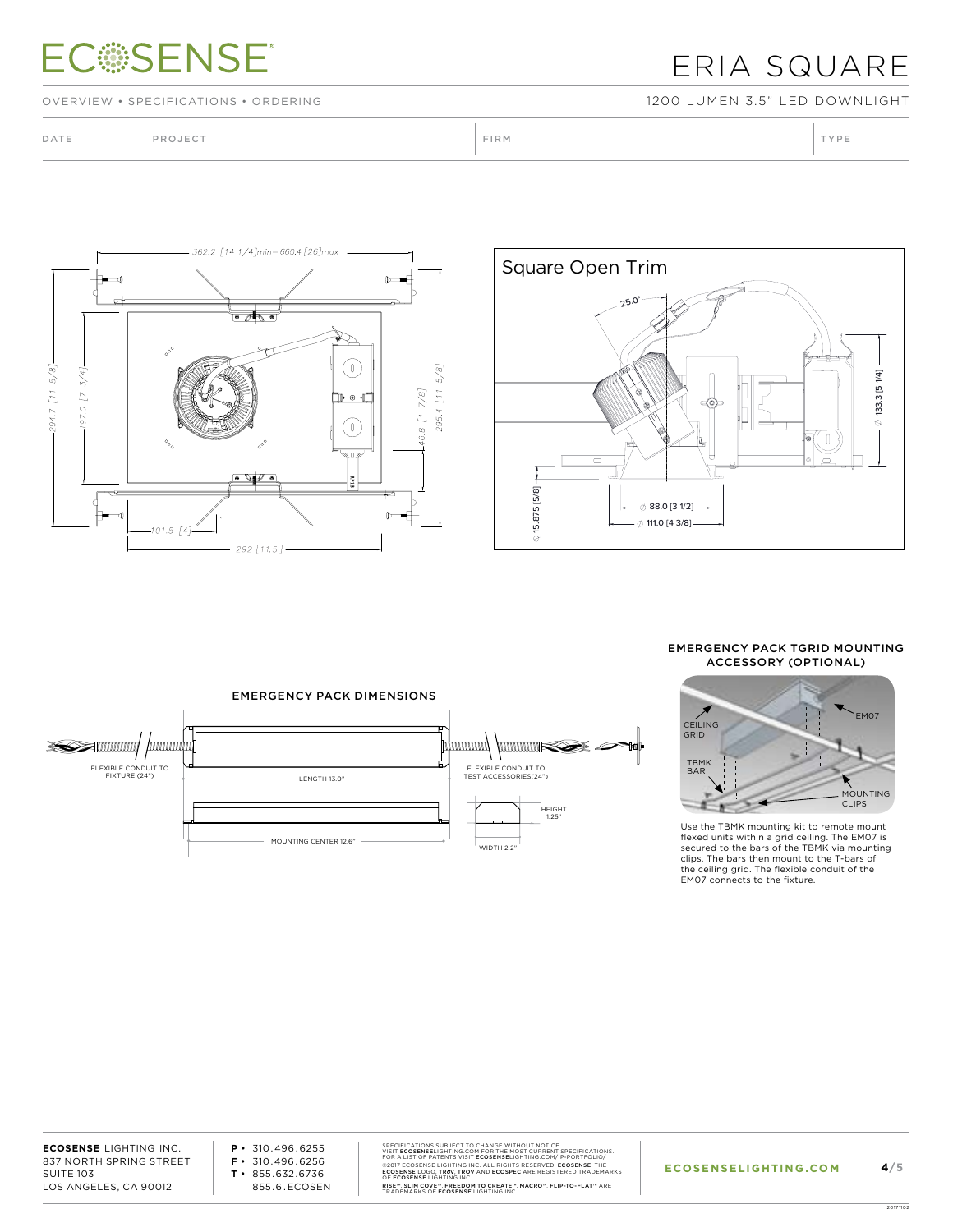## **ECSSENSE**

### ERIA SQUARE

OVERVIEW • SPECIFICATIONS • ORDERING 1200 LUMEN 3.5" LED DOWNLIGHT

DATE PROJECT PROJECT PRODUCT PROJECT PRODUCT PRODUCT PRODUCT PRODUCT PRODUCT PRODUCT PRODUCT PRODUCT PRODUCT PRODUCT PRODUCT PRODUCT PRODUCT PRODUCT PRODUCT PRODUCT PRODUCT PRODUCT PRODUCT PRODUCT PRODUCT PRODUCT PRODUCT P





#### EMERGENCY PACK TGRID MOUNTING ACCESSORY (OPTIONAL)





Use the TBMK mounting kit to remote mount flexed units within a grid ceiling. The EM07 is secured to the bars of the TBMK via mounting clips. The bars then mount to the T-bars of the ceiling grid. The flexible conduit of the EM07 connects to the fixture.

**ECOSENSE** LIGHTING INC. 837 NORTH SPRING STREET SUITE 103 LOS ANGELES, CA 90012

**P •** 310.496.6255 **F •** 310.496.6256 **T •** 855.632.6736 855.6.ECOSEN SPECIFICATIONS SUBJECT TO CHANGE WITHOUT NOTICE.<br>VISIT ECOSENSELIGHTING.COM FOR THE MOST CURRENT SPECIFICATIONS.<br>FOR A LIST OF PATENTS VISIT ECOSENSELIGHTING.COM/P-PORTFOLIO/<br>@2017 ECOSENSE LIGHTING INC. ALL RIGHTS RESERVE RISE™, SLIM COVE™, FREEDOM TO CREATE™, MACRO™, FLIP-TO-FLAT™ ARE<br>TRADEMARKS OF **ECOSENSE** LIGHTING INC.